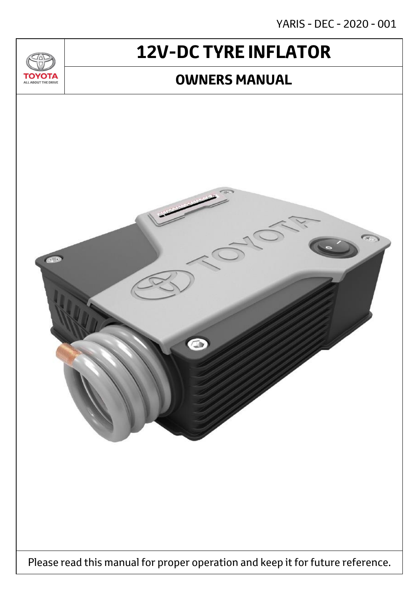YARIS - DEC - 2020 - 001

# **12V-DC TYRE INFLATOR**

 $T_{\Delta}$ 

**TOYOTA** ALL ABOUT THE DRIVE

### **OWNERS MANUAL**

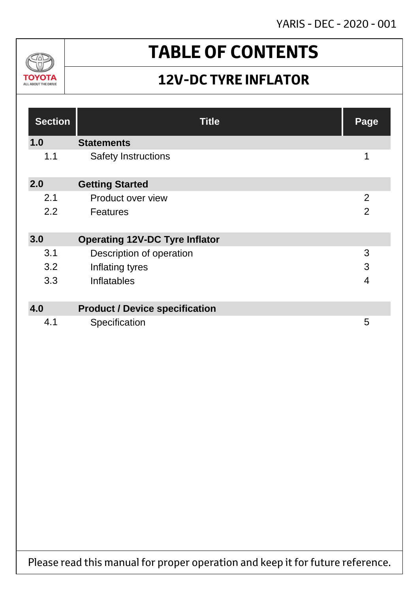YARIS - DEC - 2020 - 001



# **TABLE OF CONTENTS**

### **12V-DC TYRE INFLATOR**

| <b>Section</b> | <b>Title</b>                          | Page           |
|----------------|---------------------------------------|----------------|
| 1.0            | <b>Statements</b>                     |                |
| 1.1            | <b>Safety Instructions</b>            | 1              |
| 2.0            | <b>Getting Started</b>                |                |
| 2.1            | Product over view                     | $\overline{2}$ |
| 2.2            | <b>Features</b>                       | $\overline{2}$ |
| 3.0            | <b>Operating 12V-DC Tyre Inflator</b> |                |
| 3.1            | Description of operation              | 3              |
| 3.2            | Inflating tyres                       | 3              |
| 3.3            | <b>Inflatables</b>                    | $\overline{4}$ |
|                |                                       |                |
| 4.0            | <b>Product / Device specification</b> |                |
| 4.1            | Specification                         | 5              |

Please read this manual for proper operation and keep it for future reference.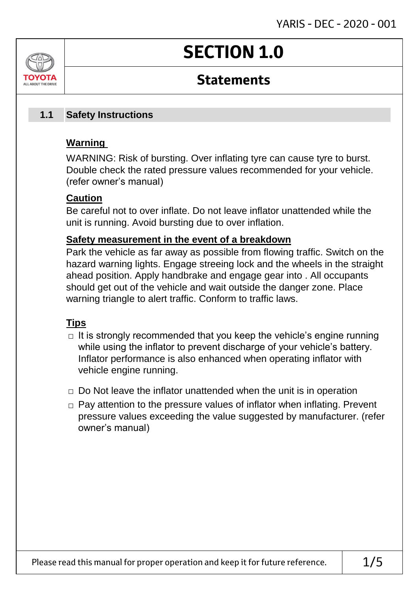# **SECTION 1.0**

### **Statements**

#### **Safety Instructions 1.1**

### **Warning**

ALL AROUT THE DRIV

WARNING: Risk of bursting. Over inflating tyre can cause tyre to burst. Double check the rated pressure values recommended for your vehicle. (refer owner's manual)

### **Caution**

Be careful not to over inflate. Do not leave inflator unattended while the unit is running. Avoid bursting due to over inflation.

### **Safety measurement in the event of a breakdown**

Park the vehicle as far away as possible from flowing traffic. Switch on the hazard warning lights. Engage streeing lock and the wheels in the straight ahead position. Apply handbrake and engage gear into . All occupants should get out of the vehicle and wait outside the danger zone. Place warning triangle to alert traffic. Conform to traffic laws.

### **Tips**

- $\Box$  It is strongly recommended that you keep the vehicle's engine running while using the inflator to prevent discharge of your vehicle's battery. Inflator performance is also enhanced when operating inflator with vehicle engine running.
- $\Box$  Do Not leave the inflator unattended when the unit is in operation
- $\Box$  Pay attention to the pressure values of inflator when inflating. Prevent pressure values exceeding the value suggested by manufacturer. (refer owner's manual)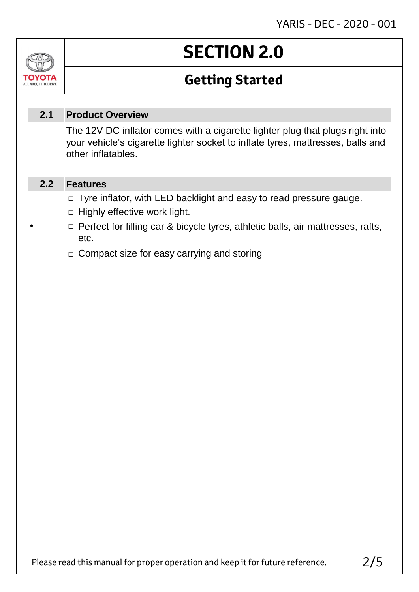# **SECTION 2.0**

### **Getting Started**

#### **Product Overview 2.1**

The 12V DC inflator comes with a cigarette lighter plug that plugs right into your vehicle's cigarette lighter socket to inflate tyres, mattresses, balls and other inflatables.

#### **Features 2.2**

Jn

ΤΟΥΟΤΑ ALL ABOUT THE DRIVE

- □ Tyre inflator, with LED backlight and easy to read pressure gauge.
- $\Box$  Highly effective work light.
- **If the Perfect for filling car & bicycle tyres, athletic balls, air mattresses, rafts,** etc.
	- □ Compact size for easy carrying and storing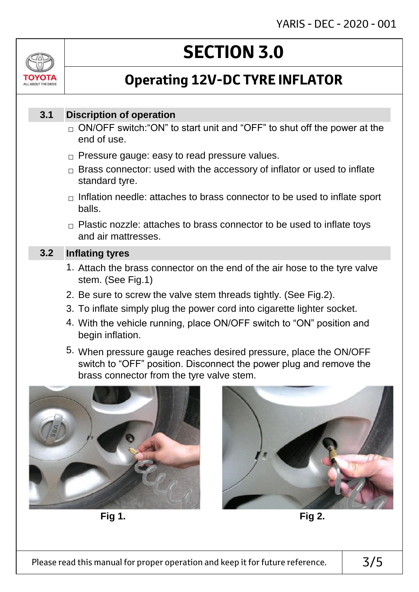# ALL AROUT THE DRIV

# **SECTION 3.0**

## **Operating 12V-DC TYRE INFLATOR**

#### **Discription of operation 3.1**

- $_\square$  ON/OFF switch:"ON" to start unit and "OFF" to shut off the power at the end of use.
- $\Box$  Pressure gauge: easy to read pressure values.
- $\Box$  Brass connector: used with the accessory of inflator or used to inflate standard tyre.
- $\Box$  Inflation needle: attaches to brass connector to be used to inflate sport balls.
- $\Box$  Plastic nozzle: attaches to brass connector to be used to inflate toys and air mattresses.

#### **Inflating tyres 3.2**

- 1. Attach the brass connector on the end of the air hose to the tyre valve stem. (See Fig.1)
- 2. Be sure to screw the valve stem threads tightly. (See Fig.2).
- 3. To inflate simply plug the power cord into cigarette lighter socket.
- 4. With the vehicle running, place ON/OFF switch to "ON" position and begin inflation.
- 5. When pressure gauge reaches desired pressure, place the ON/OFF switch to "OFF" position. Disconnect the power plug and remove the brass connector from the tyre valve stem.



**Fig 1. Fig 2.**

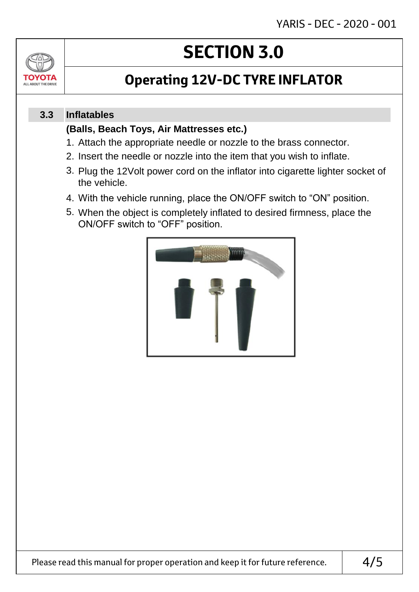

# **SECTION 3.0**

### **Operating 12V-DC TYRE INFLATOR**

#### **Inflatables 3.3**

### **(Balls, Beach Toys, Air Mattresses etc.)**

- 1. Attach the appropriate needle or nozzle to the brass connector.
- 2. Insert the needle or nozzle into the item that you wish to inflate.
- 3. Plug the 12Volt power cord on the inflator into cigarette lighter socket of the vehicle.
- 4. With the vehicle running, place the ON/OFF switch to "ON" position.
- 5. When the object is completely inflated to desired firmness, place the ON/OFF switch to "OFF" position.

![](_page_5_Picture_11.jpeg)